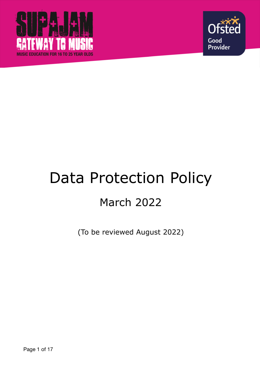



# Data Protection Policy March 2022

(To be reviewed August 2022)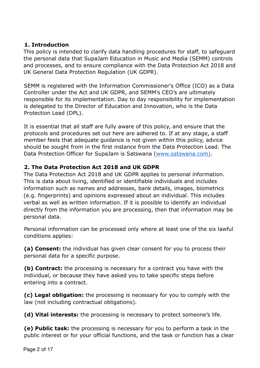#### **1. Introduction**

This policy is intended to clarify data handling procedures for staff, to safeguard the personal data that SupaJam Education in Music and Media (SEMM) controls and processes, and to ensure compliance with the Data Protection Act 2018 and UK General Data Protection Regulation (UK GDPR).

SEMM is registered with the Information Commissioner's Office (ICO) as a Data Controller under the Act and UK GDPR, and SEMM's CEO's are ultimately responsible for its implementation. Day to day responsibility for implementation is delegated to the Director of Education and Innovation, who is the Data Protection Lead (DPL).

It is essential that all staff are fully aware of this policy, and ensure that the protocols and procedures set out here are adhered to. If at any stage, a staff member feels that adequate guidance is not given within this policy, advice should be sought from in the first instance from the Data Protection Lead. The Data Protection Officer for SupaJam is Satswana [\(www.satswana.com](http://www.satswana.com)).

# **2. The Data Protection Act 2018 and UK GDPR**

The Data Protection Act 2018 and UK GDPR applies to personal information. This is data about living, identified or identifiable individuals and includes information such as names and addresses, bank details, images, biometrics (e.g. fingerprints) and opinions expressed about an individual. This includes verbal as well as written information. If it is possible to identify an individual directly from the information you are processing, then that information may be personal data.

Personal information can be processed only where at least one of the six lawful conditions applies:

**(a) Consent:** the individual has given clear consent for you to process their personal data for a specific purpose.

**(b) Contract:** the processing is necessary for a contract you have with the individual, or because they have asked you to take specific steps before entering into a contract.

**(c) Legal obligation:** the processing is necessary for you to comply with the law (not including contractual obligations).

**(d) Vital interests:** the processing is necessary to protect someone's life.

**(e) Public task:** the processing is necessary for you to perform a task in the public interest or for your official functions, and the task or function has a clear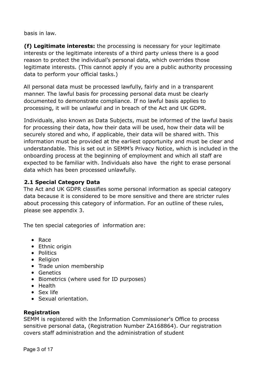basis in law.

**(f) Legitimate interests:** the processing is necessary for your legitimate interests or the legitimate interests of a third party unless there is a good reason to protect the individual's personal data, which overrides those legitimate interests. (This cannot apply if you are a public authority processing data to perform your official tasks.)

All personal data must be processed lawfully, fairly and in a transparent manner. The lawful basis for processing personal data must be clearly documented to demonstrate compliance. If no lawful basis applies to processing, it will be unlawful and in breach of the Act and UK GDPR.

Individuals, also known as Data Subjects, must be informed of the lawful basis for processing their data, how their data will be used, how their data will be securely stored and who, if applicable, their data will be shared with. This information must be provided at the earliest opportunity and must be clear and understandable. This is set out in SEMM's Privacy Notice, which is included in the onboarding process at the beginning of employment and which all staff are expected to be familiar with. Individuals also have the right to erase personal data which has been processed unlawfully.

#### **2.1 Special Category Data**

The Act and UK GDPR classifies some personal information as special category data because it is considered to be more sensitive and there are stricter rules about processing this category of information. For an outline of these rules, please see appendix 3.

The ten special categories of information are:

- Race
- Ethnic origin
- Politics
- Religion
- Trade union membership
- Genetics
- Biometrics (where used for ID purposes)
- Health
- Sex life
- Sexual orientation.

#### **Registration**

SEMM is registered with the Information Commissioner's Office to process sensitive personal data, (Registration Number ZA168864). Our registration covers staff administration and the administration of student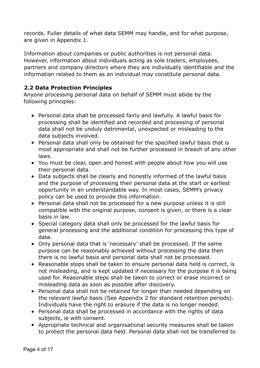records. Fuller details of what data SEMM may handle, and for what purpose, are given in Appendix 1.

Information about companies or public authorities is not personal data. However, information about individuals acting as sole traders, employees, partners and company directors where they are individually identifiable and the information related to them as an individual may constitute personal data.

#### **2.2 Data Protection Principles**

Anyone processing personal data on behalf of SEMM must abide by the following principles:

- Personal data shall be processed fairly and lawfully. A lawful basis for processing shall be identified and recorded and processing of personal data shall not be unduly detrimental, unexpected or misleading to the data subjects involved.
- Personal data shall only be obtained for the specified lawful basis that is most appropriate and shall not be further processed in breach of any other laws.
- You must be clear, open and honest with people about how you will use their personal data.
- Data subjects shall be clearly and honestly informed of the lawful basis and the purpose of processing their personal data at the start or earliest opportunity in an understandable way. In most cases, SEMM's privacy policy can be used to provide this information.
- Personal data shall not be processed for a new purpose unless it is still compatible with the original purpose, consent is given, or there is a clear basis in law.
- Special category data shall only be processed for the lawful basis for general processing and the additional condition for processing this type of data.
- Only personal data that is 'necessary' shall be processed. If the same purpose can be reasonably achieved without processing the data then there is no lawful basis and personal data shall not be processed.
- Reasonable steps shall be taken to ensure personal data held is correct, is not misleading, and is kept updated if necessary for the purpose it is being used for. Reasonable steps shall be taken to correct or erase incorrect or misleading data as soon as possible after discovery.
- Personal data shall not be retained for longer than needed depending on the relevant lawful basis (See Appendix 2 for standard retention periods). Individuals have the right to erasure if the data is no longer needed.
- Personal data shall be processed in accordance with the rights of data subjects, ie with consent.
- Appropriate technical and organisational security measures shall be taken to protect the personal data held. Personal data shall not be transferred to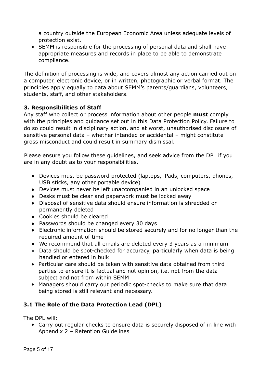a country outside the European Economic Area unless adequate levels of protection exist.

• SEMM is responsible for the processing of personal data and shall have appropriate measures and records in place to be able to demonstrate compliance.

The definition of processing is wide, and covers almost any action carried out on a computer, electronic device, or in written, photographic or verbal format. The principles apply equally to data about SEMM's parents/guardians, volunteers, students, staff, and other stakeholders.

# **3. Responsibilities of Staff**

Any staff who collect or process information about other people **must** comply with the principles and guidance set out in this Data Protection Policy. Failure to do so could result in disciplinary action, and at worst, unauthorised disclosure of sensitive personal data – whether intended or accidental – might constitute gross misconduct and could result in summary dismissal.

Please ensure you follow these guidelines, and seek advice from the DPL if you are in any doubt as to your responsibilities.

- Devices must be password protected (laptops, iPads, computers, phones, USB sticks, any other portable device)
- Devices must never be left unaccompanied in an unlocked space
- Desks must be clear and paperwork must be locked away
- Disposal of sensitive data should ensure information is shredded or permanently deleted
- Cookies should be cleared
- Passwords should be changed every 30 days
- Electronic information should be stored securely and for no longer than the required amount of time
- We recommend that all emails are deleted every 3 years as a minimum
- Data should be spot-checked for accuracy, particularly when data is being handled or entered in bulk
- Particular care should be taken with sensitive data obtained from third parties to ensure it is factual and not opinion, i.e. not from the data subject and not from within SEMM
- Managers should carry out periodic spot-checks to make sure that data being stored is still relevant and necessary.

# **3.1 The Role of the Data Protection Lead (DPL)**

The DPL will:

● Carry out regular checks to ensure data is securely disposed of in line with Appendix 2 – Retention Guidelines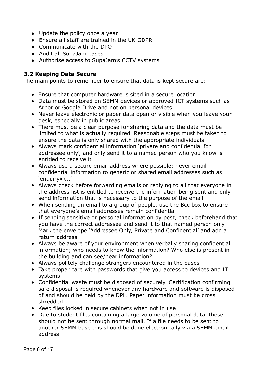- Update the policy once a year
- Ensure all staff are trained in the UK GDPR
- Communicate with the DPO
- Audit all SupaJam bases
- Authorise access to SupaJam's CCTV systems

#### **3.2 Keeping Data Secure**

The main points to remember to ensure that data is kept secure are:

- Ensure that computer hardware is sited in a secure location
- Data must be stored on SEMM devices or approved ICT systems such as Arbor or Google Drive and not on personal devices
- Never leave electronic or paper data open or visible when you leave your desk, especially in public areas
- There must be a clear purpose for sharing data and the data must be limited to what is actually required. Reasonable steps must be taken to ensure the data is only shared with the appropriate individuals
- Always mark confidential information 'private and confidential for addressee only', and only send it to a named person who you know is entitled to receive it
- Always use a secure email address where possible; never email confidential information to generic or shared email addresses such as 'enquiry@...'
- Always check before forwarding emails or replying to all that everyone in the address list is entitled to receive the information being sent and only send information that is necessary to the purpose of the email
- When sending an email to a group of people, use the Bcc box to ensure that everyone's email addresses remain confidential
- If sending sensitive or personal information by post, check beforehand that you have the correct addressee and send it to that named person only Mark the envelope 'Addressee Only, Private and Confidential' and add a return address
- Always be aware of your environment when verbally sharing confidential information; who needs to know the information? Who else is present in the building and can see/hear information?
- Always politely challenge strangers encountered in the bases
- Take proper care with passwords that give you access to devices and IT systems
- Confidential waste must be disposed of securely. Certification confirming safe disposal is required whenever any hardware and software is disposed of and should be held by the DPL. Paper information must be cross shredded
- Keep files locked in secure cabinets when not in use
- Due to student files containing a large volume of personal data, these should not be sent through normal mail. If a file needs to be sent to another SEMM base this should be done electronically via a SEMM email address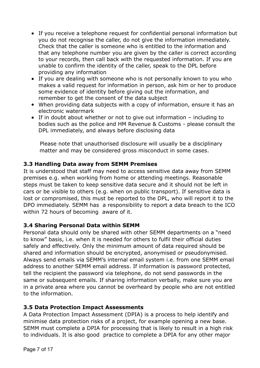- If you receive a telephone request for confidential personal information but you do not recognise the caller, do not give the information immediately. Check that the caller is someone who is entitled to the information and that any telephone number you are given by the caller is correct according to your records, then call back with the requested information. If you are unable to confirm the identity of the caller, speak to the DPL before providing any information
- If you are dealing with someone who is not personally known to you who makes a valid request for information in person, ask him or her to produce some evidence of identity before giving out the information, and remember to get the consent of the data subject
- When providing data subjects with a copy of information, ensure it has an electronic watermark
- If in doubt about whether or not to give out information including to bodies such as the police and HM Revenue & Customs - please consult the DPL immediately, and always before disclosing data

Please note that unauthorised disclosure will usually be a disciplinary matter and may be considered gross misconduct in some cases.

# **3.3 Handling Data away from SEMM Premises**

It is understood that staff may need to access sensitive data away from SEMM premises e.g. when working from home or attending meetings. Reasonable steps must be taken to keep sensitive data secure and it should not be left in cars or be visible to others (e.g. when on public transport). If sensitive data is lost or compromised, this must be reported to the DPL, who will report it to the DPO immediately. SEMM has a responsibility to report a data breach to the ICO within 72 hours of becoming aware of it.

# **3.4 Sharing Personal Data within SEMM**

Personal data should only be shared with other SEMM departments on a "need to know" basis, i.e. when it is needed for others to fulfil their official duties safely and effectively. Only the minimum amount of data required should be shared and information should be encrypted, anonymised or pseudonymised. Always send emails via SEMM's internal email system i.e. from one SEMM email address to another SEMM email address. If information is password protected, tell the recipient the password via telephone, do not send passwords in the same or subsequent emails. If sharing information verbally, make sure you are in a private area where you cannot be overheard by people who are not entitled to the information.

# **3.5 Data Protection Impact Assessments**

A Data Protection Impact Assessment (DPIA) is a process to help identify and minimise data protection risks of a project, for example opening a new base. SEMM must complete a DPIA for processing that is likely to result in a high risk to individuals. It is also good practice to complete a DPIA for any other major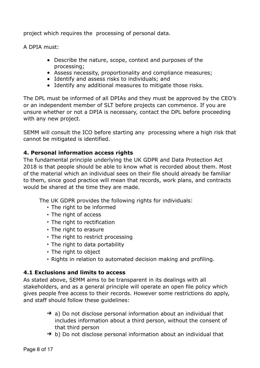project which requires the processing of personal data.

A DPIA must:

- Describe the nature, scope, context and purposes of the processing;
- Assess necessity, proportionality and compliance measures;
- Identify and assess risks to individuals; and
- Identify any additional measures to mitigate those risks.

The DPL must be informed of all DPIAs and they must be approved by the CEO's or an independent member of SLT before projects can commence. If you are unsure whether or not a DPIA is necessary, contact the DPL before proceeding with any new project.

SEMM will consult the ICO before starting any processing where a high risk that cannot be mitigated is identified.

#### **4. Personal information access rights**

The fundamental principle underlying the UK GDPR and Data Protection Act 2018 is that people should be able to know what is recorded about them. Most of the material which an individual sees on their file should already be familiar to them, since good practice will mean that records, work plans, and contracts would be shared at the time they are made.

The UK GDPR provides the following rights for individuals:

- The right to be informed
- $\cdot$  The right of access
- The right to rectification
- The right to erasure
- $\cdot$  The right to restrict processing
- The right to data portability
- The right to object
- Rights in relation to automated decision making and profiling.

#### **4.1 Exclusions and limits to access**

As stated above, SEMM aims to be transparent in its dealings with all stakeholders, and as a general principle will operate an open file policy which gives people free access to their records. However some restrictions do apply, and staff should follow these guidelines:

- $\rightarrow$  a) Do not disclose personal information about an individual that includes information about a third person, without the consent of that third person
- $\rightarrow$  b) Do not disclose personal information about an individual that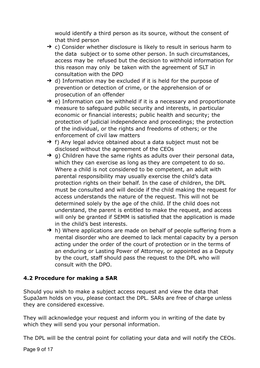would identify a third person as its source, without the consent of that third person

- $\rightarrow$  c) Consider whether disclosure is likely to result in serious harm to the data subject or to some other person. In such circumstances, access may be refused but the decision to withhold information for this reason may only be taken with the agreement of SLT in consultation with the DPO
- $\rightarrow$  d) Information may be excluded if it is held for the purpose of prevention or detection of crime, or the apprehension of or prosecution of an offender
- $\rightarrow$  e) Information can be withheld if it is a necessary and proportionate measure to safeguard public security and interests, in particular economic or financial interests; public health and security; the protection of judicial independence and proceedings; the protection of the individual, or the rights and freedoms of others; or the enforcement of civil law matters
- $\rightarrow$  f) Any legal advice obtained about a data subject must not be disclosed without the agreement of the CEOs
- $\rightarrow$  g) Children have the same rights as adults over their personal data, which they can exercise as long as they are competent to do so. Where a child is not considered to be competent, an adult with parental responsibility may usually exercise the child's data protection rights on their behalf. In the case of children, the DPL must be consulted and will decide if the child making the request for access understands the nature of the request. This will not be determined solely by the age of the child. If the child does not understand, the parent is entitled to make the request, and access will only be granted if SEMM is satisfied that the application is made in the child's best interests.
- $\rightarrow$  h) Where applications are made on behalf of people suffering from a mental disorder who are deemed to lack mental capacity by a person acting under the order of the court of protection or in the terms of an enduring or Lasting Power of Attorney, or appointed as a Deputy by the court, staff should pass the request to the DPL who will consult with the DPO.

# **4.2 Procedure for making a SAR**

Should you wish to make a subject access request and view the data that SupaJam holds on you, please contact the DPL. SARs are free of charge unless they are considered excessive.

They will acknowledge your request and inform you in writing of the date by which they will send you your personal information.

The DPL will be the central point for collating your data and will notify the CEOs.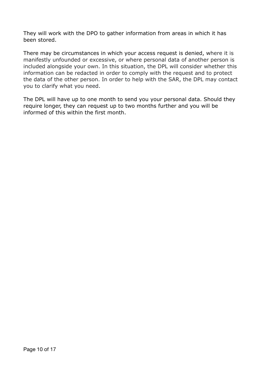They will work with the DPO to gather information from areas in which it has been stored.

There may be circumstances in which your access request is denied, where it is manifestly unfounded or excessive, or where personal data of another person is included alongside your own. In this situation, the DPL will consider whether this information can be redacted in order to comply with the request and to protect the data of the other person. In order to help with the SAR, the DPL may contact you to clarify what you need.

The DPL will have up to one month to send you your personal data. Should they require longer, they can request up to two months further and you will be informed of this within the first month.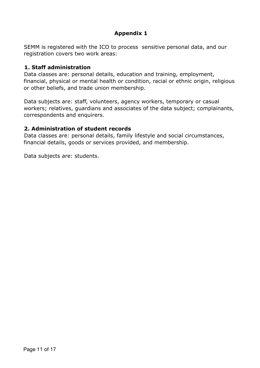# **Appendix 1**

SEMM is registered with the ICO to process sensitive personal data, and our registration covers two work areas:

#### **1. Staff administration**

Data classes are: personal details, education and training, employment, financial, physical or mental health or condition, racial or ethnic origin, religious or other beliefs, and trade union membership.

Data subjects are: staff, volunteers, agency workers, temporary or casual workers; relatives, guardians and associates of the data subject; complainants, correspondents and enquirers.

#### **2. Administration of student records**

Data classes are: personal details, family lifestyle and social circumstances, financial details, goods or services provided, and membership.

Data subjects are: students.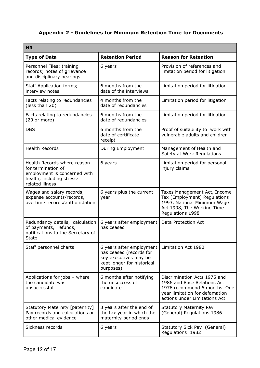# **Appendix 2 - Guidelines for Minimum Retention Time for Documents**

| <b>HR</b>                                                                                                                         |                                                                                                                         |                                                                                                                                                                |  |
|-----------------------------------------------------------------------------------------------------------------------------------|-------------------------------------------------------------------------------------------------------------------------|----------------------------------------------------------------------------------------------------------------------------------------------------------------|--|
| <b>Type of Data</b>                                                                                                               | <b>Retention Period</b>                                                                                                 | <b>Reason for Retention</b>                                                                                                                                    |  |
| Personnel Files; training<br>records; notes of grievance<br>and disciplinary hearings                                             | 6 years                                                                                                                 | Provision of references and<br>limitation period for litigation                                                                                                |  |
| <b>Staff Application forms;</b><br>interview notes                                                                                | 6 months from the<br>date of the interviews                                                                             | Limitation period for litigation                                                                                                                               |  |
| Facts relating to redundancies<br>(less than 20)                                                                                  | 4 months from the<br>date of redundancies                                                                               | Limitation period for litigation                                                                                                                               |  |
| Facts relating to redundancies<br>(20 or more)                                                                                    | 6 months from the<br>date of redundancies                                                                               | Limitation period for litigation                                                                                                                               |  |
| <b>DBS</b>                                                                                                                        | 6 months from the<br>date of certificate<br>receipt                                                                     | Proof of suitability to work with<br>vulnerable adults and children                                                                                            |  |
| <b>Health Records</b>                                                                                                             | During Employment                                                                                                       | Management of Health and<br>Safety at Work Regulations                                                                                                         |  |
| Health Records where reason<br>for termination of<br>employment is concerned with<br>health, including stress-<br>related illness | 6 years                                                                                                                 | Limitation period for personal<br>injury claims                                                                                                                |  |
| Wages and salary records,<br>expense accounts/records,<br>overtime records/authoristation                                         | 6 years plus the current<br>year                                                                                        | Taxes Management Act, Income<br>Tax (Employment) Regulations<br>1993, National Minimum Wage<br>Act 1998, The Working Time<br>Regulations 1998                  |  |
| Redundancy details, calculation<br>of payments, refunds,<br>notifications to the Secretary of<br>State                            | 6 years after employment<br>has ceased                                                                                  | Data Protection Act                                                                                                                                            |  |
| Staff personnel charts                                                                                                            | 6 years after employment<br>has ceased (records for<br>key executives may be<br>kept longer for historical<br>purposes) | Limitation Act 1980                                                                                                                                            |  |
| Applications for jobs - where<br>the candidate was<br>unsuccessful                                                                | 6 months after notifying<br>the unsuccessful<br>candidate                                                               | Discrimination Acts 1975 and<br>1986 and Race Relations Act<br>1976 recommend 6 months. One<br>year limitation for defamation<br>actions under Limitations Act |  |
| Statutory Maternity [paternity]<br>Pay records and calculations or<br>other medical evidence                                      | 3 years after the end of<br>the tax year in which the<br>maternity period ends                                          | <b>Statutory Maternity Pay</b><br>(General) Regulations 1986                                                                                                   |  |
| Sickness records                                                                                                                  | 6 years                                                                                                                 | Statutory Sick Pay (General)<br>Regulations 1982                                                                                                               |  |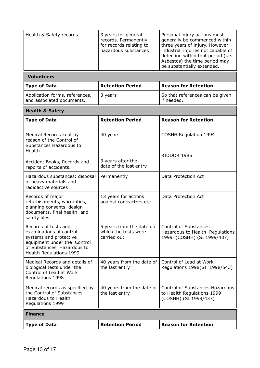| <b>Volunteers</b> |
|-------------------|
|-------------------|

| Type of Data                                                | <b>Retention Period</b> | <b>Reason for Retention</b>                     |
|-------------------------------------------------------------|-------------------------|-------------------------------------------------|
| Application forms, references,<br>and associated documents. | 3 years                 | So that references can be given<br>l if needed. |

| <b>Health &amp; Safety</b>                                                                                                                                        |                                                                 |                                                                                               |  |
|-------------------------------------------------------------------------------------------------------------------------------------------------------------------|-----------------------------------------------------------------|-----------------------------------------------------------------------------------------------|--|
| <b>Type of Data</b>                                                                                                                                               | <b>Retention Period</b>                                         | <b>Reason for Retention</b>                                                                   |  |
| Medical Records kept by<br>reason of the Control of<br>Substances Hazardous to<br>Health                                                                          | 40 years                                                        | <b>COSHH Regulation 1994</b>                                                                  |  |
| Accident Books, Records and<br>reports of accidents.                                                                                                              | 3 years after the<br>date of the last entry                     | RIDDOR 1985                                                                                   |  |
| Hazardous substances: disposal<br>of heavy materials and<br>radioactive sources                                                                                   | Permanently                                                     | Data Protection Act                                                                           |  |
| Records of major<br>refurbishments, warranties,<br>planning consents, design<br>documents, final health and<br>safety files                                       | 13 years for actions<br>against contractors etc.                | Data Protection Act                                                                           |  |
| Records of tests and<br>examinations of control<br>systems and protective<br>equipment under the Control<br>of Substances Hazardous to<br>Health Regulations 1999 | 5 years from the date on<br>which the tests were<br>carried out | <b>Control of Substances</b><br>Hazardous to Health Regulations<br>1999 (COSHH) (SI 1999/437) |  |
| Medical Records and details of<br>biological tests under the<br>Control of Lead at Work<br>Regulations 1998                                                       | 40 years from the date of<br>the last entry                     | Control of Lead at Work<br>Regulations 1998(SI 1998/543)                                      |  |
| Medical records as specified by<br>the Control of Substances<br>Hazardous to Health<br>Regulations 1999                                                           | 40 years from the date of<br>the last entry                     | Control of Substances Hazardous<br>to Health Regulations 1999<br>(COSHH) (SI 1999/437)        |  |
| <b>Finance</b>                                                                                                                                                    |                                                                 |                                                                                               |  |
| <b>Type of Data</b>                                                                                                                                               | <b>Retention Period</b>                                         | <b>Reason for Retention</b>                                                                   |  |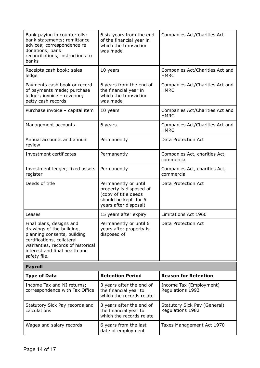| Bank paying in counterfoils;<br>bank statements; remittance<br>advices; correspondence re<br>donations; bank<br>reconciliations; instructions to<br>banks                                                | 6 six years from the end<br>of the financial year in<br>which the transaction<br>was made                                | Companies Act/Charities Act                      |
|----------------------------------------------------------------------------------------------------------------------------------------------------------------------------------------------------------|--------------------------------------------------------------------------------------------------------------------------|--------------------------------------------------|
| Receipts cash book; sales<br>ledger                                                                                                                                                                      | 10 years                                                                                                                 | Companies Act/Charities Act and<br><b>HMRC</b>   |
| Payments cash book or record<br>of payments made; purchase<br>ledger; invoice - revenue;<br>petty cash records                                                                                           | 6 years from the end of<br>the financial year in<br>which the transaction<br>was made                                    | Companies Act/Charities Act and<br><b>HMRC</b>   |
| Purchase invoice - capital item                                                                                                                                                                          | 10 years                                                                                                                 | Companies Act/Charities Act and<br><b>HMRC</b>   |
| Management accounts                                                                                                                                                                                      | 6 years                                                                                                                  | Companies Act/Charities Act and<br><b>HMRC</b>   |
| Annual accounts and annual<br>review                                                                                                                                                                     | Permanently                                                                                                              | Data Protection Act                              |
| Investment certificates                                                                                                                                                                                  | Permanently                                                                                                              | Companies Act, charities Act,<br>commercial      |
| Investment ledger; fixed assets<br>register                                                                                                                                                              | Permanently                                                                                                              | Companies Act, charities Act,<br>commercial      |
| Deeds of title                                                                                                                                                                                           | Permanently or until<br>property is disposed of<br>(copy of title deeds<br>should be kept for 6<br>years after disposal) | Data Protection Act                              |
| Leases                                                                                                                                                                                                   | 15 years after expiry                                                                                                    | Limitations Act 1960                             |
| Final plans, designs and<br>drawings of the building,<br>planning consents, building<br>certifications, collateral<br>warranties, records of historical<br>interest and final health and<br>safety file. | Permanently or until 6<br>years after property is<br>disposed of                                                         | Data Protection Act                              |
| <b>Payroll</b>                                                                                                                                                                                           |                                                                                                                          |                                                  |
| <b>Type of Data</b>                                                                                                                                                                                      | <b>Retention Period</b>                                                                                                  | <b>Reason for Retention</b>                      |
| Income Tax and NI returns;<br>correspondence with Tax Office                                                                                                                                             | 3 years after the end of<br>the financial year to<br>which the records relate                                            | Income Tax (Employment)<br>Regulations 1993      |
| Statutory Sick Pay records and<br>calculations                                                                                                                                                           | 3 years after the end of<br>the financial year to<br>which the records relate                                            | Statutory Sick Pay (General)<br>Regulations 1982 |
| Wages and salary records                                                                                                                                                                                 | 6 years from the last<br>date of employment                                                                              | Taxes Management Act 1970                        |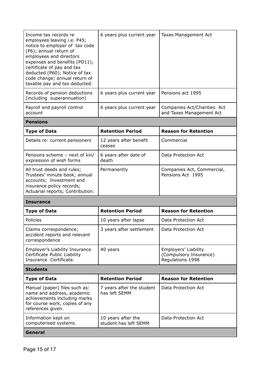| Income tax records re<br>employees leaving i.e. P45;<br>notice to employer of tax code<br>(P6); annual return of<br>employees and directors<br>expenses and benefits (PD11);<br>certificate of pay and tax<br>deducted (P60); Notice of tax<br>code change; annual return of<br>taxable pay and tax deducted. | 6 years plus current year        | Taxes Management Act                                    |
|---------------------------------------------------------------------------------------------------------------------------------------------------------------------------------------------------------------------------------------------------------------------------------------------------------------|----------------------------------|---------------------------------------------------------|
| Records of pension deductions<br>(including superannuation)                                                                                                                                                                                                                                                   | 6 years plus current year        | Pensions act 1995                                       |
| Payroll and payroll control<br>account                                                                                                                                                                                                                                                                        | 6 years plus current year        | Companies Act/Charities Act<br>and Taxes Management Act |
| <b>Pensions</b>                                                                                                                                                                                                                                                                                               |                                  |                                                         |
| <b>Type of Data</b>                                                                                                                                                                                                                                                                                           | <b>Retention Period</b>          | <b>Reason for Retention</b>                             |
| Details re: current pensioners                                                                                                                                                                                                                                                                                | 12 years after benefit<br>CARCAC | Commercial                                              |

| Details re: current pensioners                                                                                                                           | 12 years after benefit<br>ceases | Commercial                                      |
|----------------------------------------------------------------------------------------------------------------------------------------------------------|----------------------------------|-------------------------------------------------|
| Pensions scheme - next of kin/<br>expression of wish forms                                                                                               | 6 years after date of<br>death   | Data Protection Act                             |
| All trust deeds and rules;<br>Trustees' minute book; annual<br>accounts; Investment and<br>insurance policy records;<br>Actuarial reports; Contribution. | Permanently                      | Companies Act, Commercial,<br>Pensions Act 1995 |

#### **Insurance**

| <b>Type of Data</b>                                                                                                                                | <b>Retention Period</b>                     | <b>Reason for Retention</b>                                        |  |
|----------------------------------------------------------------------------------------------------------------------------------------------------|---------------------------------------------|--------------------------------------------------------------------|--|
| <b>Policies</b>                                                                                                                                    | 10 years after lapse                        | Data Protection Act                                                |  |
| Claims correspondence;<br>accident reports and relevant<br>correspondence                                                                          | 3 years after settlement                    | Data Protection Act                                                |  |
| Employer's Liability Insurance<br>Certificate Public Liability<br>Insurance Certificate.                                                           | 40 years                                    | Employers' Liability<br>(Compulsory Insurance)<br>Regulations 1998 |  |
| <b>Students</b>                                                                                                                                    |                                             |                                                                    |  |
| <b>Type of Data</b>                                                                                                                                | <b>Retention Period</b>                     | <b>Reason for Retention</b>                                        |  |
| Manual (paper) files such as:<br>name and address, academic<br>achievements including marks<br>for course work, copies of any<br>references given. | 7 years after the student<br>has left SEMM  | Data Protection Act                                                |  |
| Information kept on<br>computerised systems.                                                                                                       | 10 years after the<br>student has left SEMM | Data Protection Act                                                |  |

**General**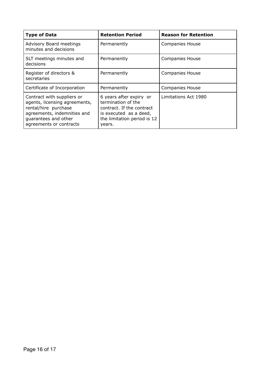| <b>Type of Data</b>                                                                                                                                                   | <b>Retention Period</b>                                                                                                                       | <b>Reason for Retention</b> |
|-----------------------------------------------------------------------------------------------------------------------------------------------------------------------|-----------------------------------------------------------------------------------------------------------------------------------------------|-----------------------------|
| Advisory Board meetings<br>minutes and decisions                                                                                                                      | Permanently                                                                                                                                   | <b>Companies House</b>      |
| SLT meetings minutes and<br>decisions                                                                                                                                 | Permanently                                                                                                                                   | <b>Companies House</b>      |
| Register of directors &<br>secretaries                                                                                                                                | Permanently                                                                                                                                   | <b>Companies House</b>      |
| Certificate of Incorporation                                                                                                                                          | Permanently                                                                                                                                   | <b>Companies House</b>      |
| Contract with suppliers or<br>agents, licensing agreements,<br>rental/hire purchase<br>agreements, indemnities and<br>guarantees and other<br>agreements or contracts | 6 years after expiry or<br>termination of the<br>contract. If the contract<br>is executed as a deed,<br>the limitation period is 12<br>years. | Limitations Act 1980        |